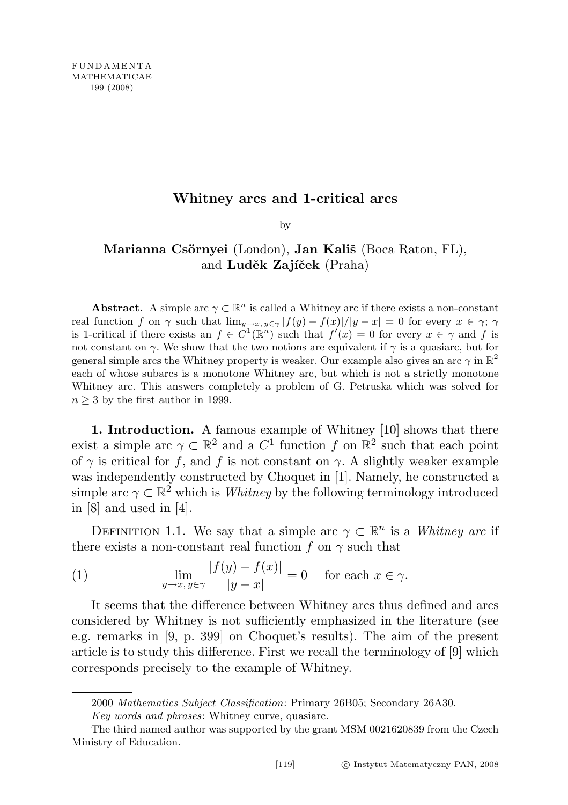## Whitney arcs and 1-critical arcs

by

# Marianna Csörnyei (London), Jan Kališ (Boca Raton, FL), and Luděk Zajíček (Praha)

**Abstract.** A simple arc  $\gamma \subset \mathbb{R}^n$  is called a Whitney arc if there exists a non-constant real function f on  $\gamma$  such that  $\lim_{y\to x, y\in\gamma} |f(y) - f(x)|/|y - x| = 0$  for every  $x \in \gamma$ ;  $\gamma$ is 1-critical if there exists an  $f \in C^1(\mathbb{R}^n)$  such that  $f'(x) = 0$  for every  $x \in \gamma$  and f is not constant on  $\gamma$ . We show that the two notions are equivalent if  $\gamma$  is a quasiarc, but for general simple arcs the Whitney property is weaker. Our example also gives an arc  $\gamma$  in  $\mathbb{R}^2$ each of whose subarcs is a monotone Whitney arc, but which is not a strictly monotone Whitney arc. This answers completely a problem of G. Petruska which was solved for  $n \geq 3$  by the first author in 1999.

1. Introduction. A famous example of Whitney [10] shows that there exist a simple arc  $\gamma \subset \mathbb{R}^2$  and a  $C^1$  function f on  $\mathbb{R}^2$  such that each point of  $\gamma$  is critical for f, and f is not constant on  $\gamma$ . A slightly weaker example was independently constructed by Choquet in [1]. Namely, he constructed a simple arc  $\gamma \subset \mathbb{R}^2$  which is *Whitney* by the following terminology introduced in [8] and used in [4].

DEFINITION 1.1. We say that a simple arc  $\gamma \subset \mathbb{R}^n$  is a Whitney arc if there exists a non-constant real function f on  $\gamma$  such that

(1) 
$$
\lim_{y \to x, y \in \gamma} \frac{|f(y) - f(x)|}{|y - x|} = 0 \quad \text{for each } x \in \gamma.
$$

It seems that the difference between Whitney arcs thus defined and arcs considered by Whitney is not sufficiently emphasized in the literature (see e.g. remarks in [9, p. 399] on Choquet's results). The aim of the present article is to study this difference. First we recall the terminology of [9] which corresponds precisely to the example of Whitney.

<sup>2000</sup> Mathematics Subject Classification: Primary 26B05; Secondary 26A30. Key words and phrases: Whitney curve, quasiarc.

The third named author was supported by the grant MSM 0021620839 from the Czech Ministry of Education.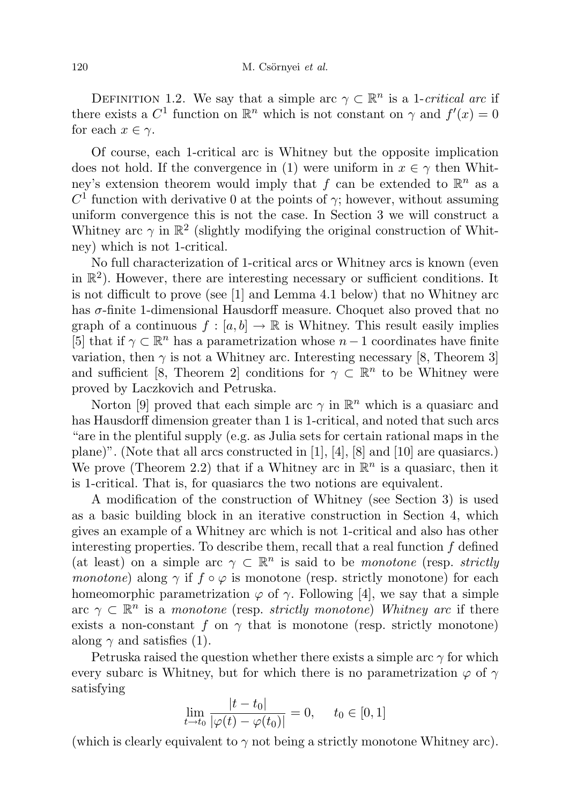DEFINITION 1.2. We say that a simple arc  $\gamma \subset \mathbb{R}^n$  is a 1-*critical arc* if there exists a  $C^1$  function on  $\mathbb{R}^n$  which is not constant on  $\gamma$  and  $f'(x) = 0$ for each  $x \in \gamma$ .

Of course, each 1-critical arc is Whitney but the opposite implication does not hold. If the convergence in (1) were uniform in  $x \in \gamma$  then Whitney's extension theorem would imply that f can be extended to  $\mathbb{R}^n$  as a  $C<sup>1</sup>$  function with derivative 0 at the points of  $\gamma$ ; however, without assuming uniform convergence this is not the case. In Section 3 we will construct a Whitney arc  $\gamma$  in  $\mathbb{R}^2$  (slightly modifying the original construction of Whitney) which is not 1-critical.

No full characterization of 1-critical arcs or Whitney arcs is known (even in  $\mathbb{R}^2$ ). However, there are interesting necessary or sufficient conditions. It is not difficult to prove (see [1] and Lemma 4.1 below) that no Whitney arc has  $\sigma$ -finite 1-dimensional Hausdorff measure. Choquet also proved that no graph of a continuous  $f : [a, b] \to \mathbb{R}$  is Whitney. This result easily implies [5] that if  $\gamma \subset \mathbb{R}^n$  has a parametrization whose  $n-1$  coordinates have finite variation, then  $\gamma$  is not a Whitney arc. Interesting necessary [8, Theorem 3] and sufficient [8, Theorem 2] conditions for  $\gamma \subset \mathbb{R}^n$  to be Whitney were proved by Laczkovich and Petruska.

Norton [9] proved that each simple arc  $\gamma$  in  $\mathbb{R}^n$  which is a quasiarc and has Hausdorff dimension greater than 1 is 1-critical, and noted that such arcs "are in the plentiful supply (e.g. as Julia sets for certain rational maps in the plane)". (Note that all arcs constructed in [1], [4], [8] and [10] are quasiarcs.) We prove (Theorem 2.2) that if a Whitney arc in  $\mathbb{R}^n$  is a quasiarc, then it is 1-critical. That is, for quasiarcs the two notions are equivalent.

A modification of the construction of Whitney (see Section 3) is used as a basic building block in an iterative construction in Section 4, which gives an example of a Whitney arc which is not 1-critical and also has other interesting properties. To describe them, recall that a real function  $f$  defined (at least) on a simple arc  $\gamma \subset \mathbb{R}^n$  is said to be *monotone* (resp. strictly monotone) along  $\gamma$  if  $f \circ \varphi$  is monotone (resp. strictly monotone) for each homeomorphic parametrization  $\varphi$  of  $\gamma$ . Following [4], we say that a simple arc  $\gamma \subset \mathbb{R}^n$  is a monotone (resp. strictly monotone) Whitney arc if there exists a non-constant f on  $\gamma$  that is monotone (resp. strictly monotone) along  $\gamma$  and satisfies (1).

Petruska raised the question whether there exists a simple arc  $\gamma$  for which every subarc is Whitney, but for which there is no parametrization  $\varphi$  of  $\gamma$ satisfying

$$
\lim_{t \to t_0} \frac{|t - t_0|}{|\varphi(t) - \varphi(t_0)|} = 0, \quad t_0 \in [0, 1]
$$

(which is clearly equivalent to  $\gamma$  not being a strictly monotone Whitney arc).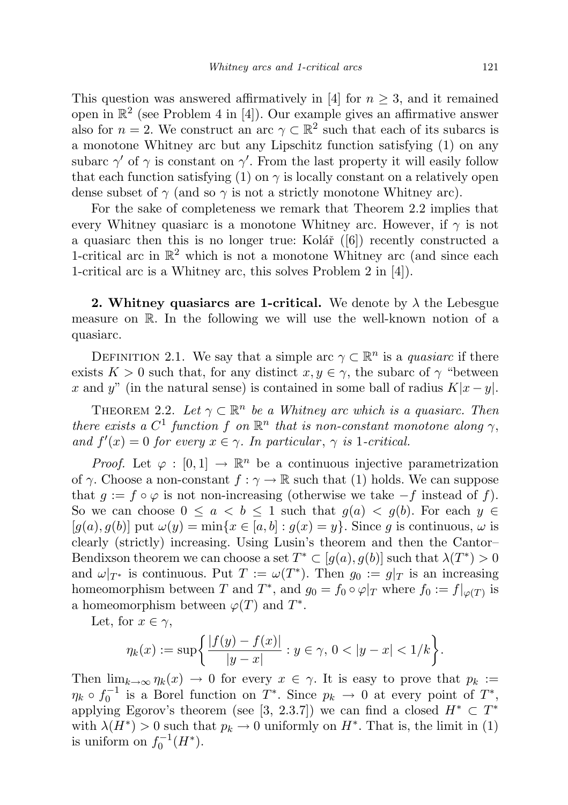This question was answered affirmatively in [4] for  $n \geq 3$ , and it remained open in  $\mathbb{R}^2$  (see Problem 4 in [4]). Our example gives an affirmative answer also for  $n = 2$ . We construct an arc  $\gamma \subset \mathbb{R}^2$  such that each of its subarcs is a monotone Whitney arc but any Lipschitz function satisfying (1) on any subarc  $\gamma'$  of  $\gamma$  is constant on  $\gamma'$ . From the last property it will easily follow that each function satisfying (1) on  $\gamma$  is locally constant on a relatively open dense subset of  $\gamma$  (and so  $\gamma$  is not a strictly monotone Whitney arc).

For the sake of completeness we remark that Theorem 2.2 implies that every Whitney quasiarc is a monotone Whitney arc. However, if  $\gamma$  is not a quasiarc then this is no longer true: Kolář  $([6])$  recently constructed a 1-critical arc in  $\mathbb{R}^2$  which is not a monotone Whitney arc (and since each 1-critical arc is a Whitney arc, this solves Problem 2 in [4]).

2. Whitney quasiarcs are 1-critical. We denote by  $\lambda$  the Lebesgue measure on R. In the following we will use the well-known notion of a quasiarc.

DEFINITION 2.1. We say that a simple arc  $\gamma \subset \mathbb{R}^n$  is a *quasiarc* if there exists  $K > 0$  such that, for any distinct  $x, y \in \gamma$ , the subarc of  $\gamma$  "between x and y" (in the natural sense) is contained in some ball of radius  $K|x-y|$ .

THEOREM 2.2. Let  $\gamma \subset \mathbb{R}^n$  be a Whitney arc which is a quasiarc. Then there exists a  $C^1$  function f on  $\mathbb{R}^n$  that is non-constant monotone along  $\gamma$ , and  $f'(x) = 0$  for every  $x \in \gamma$ . In particular,  $\gamma$  is 1-critical.

*Proof.* Let  $\varphi : [0,1] \to \mathbb{R}^n$  be a continuous injective parametrization of  $\gamma$ . Choose a non-constant  $f : \gamma \to \mathbb{R}$  such that (1) holds. We can suppose that  $g := f \circ \varphi$  is not non-increasing (otherwise we take  $-f$  instead of f). So we can choose  $0 \le a < b \le 1$  such that  $g(a) < g(b)$ . For each  $y \in$  $[g(a), g(b)]$  put  $\omega(y) = \min\{x \in [a, b] : g(x) = y\}$ . Since g is continuous,  $\omega$  is clearly (strictly) increasing. Using Lusin's theorem and then the Cantor– Bendixson theorem we can choose a set  $T^* \subset [g(a), g(b)]$  such that  $\lambda(T^*) > 0$ and  $\omega|_{T^*}$  is continuous. Put  $T := \omega(T^*)$ . Then  $g_0 := g|_T$  is an increasing homeomorphism between T and  $T^*$ , and  $g_0 = f_0 \circ \varphi|_T$  where  $f_0 := f|_{\varphi(T)}$  is a homeomorphism between  $\varphi(T)$  and  $T^*$ .

Let, for  $x \in \gamma$ ,

$$
\eta_k(x) := \sup \left\{ \frac{|f(y) - f(x)|}{|y - x|} : y \in \gamma, \ 0 < |y - x| < 1/k \right\}.
$$

Then  $\lim_{k\to\infty}\eta_k(x)\to 0$  for every  $x\in\gamma$ . It is easy to prove that  $p_k :=$  $\eta_k \circ f_0^{-1}$  is a Borel function on  $T^*$ . Since  $p_k \to 0$  at every point of  $T^*$ , applying Egorov's theorem (see [3, 2.3.7]) we can find a closed  $H^* \,\subset T^*$ with  $\lambda(H^*) > 0$  such that  $p_k \to 0$  uniformly on  $H^*$ . That is, the limit in (1) is uniform on  $f_0^{-1}(H^*)$ .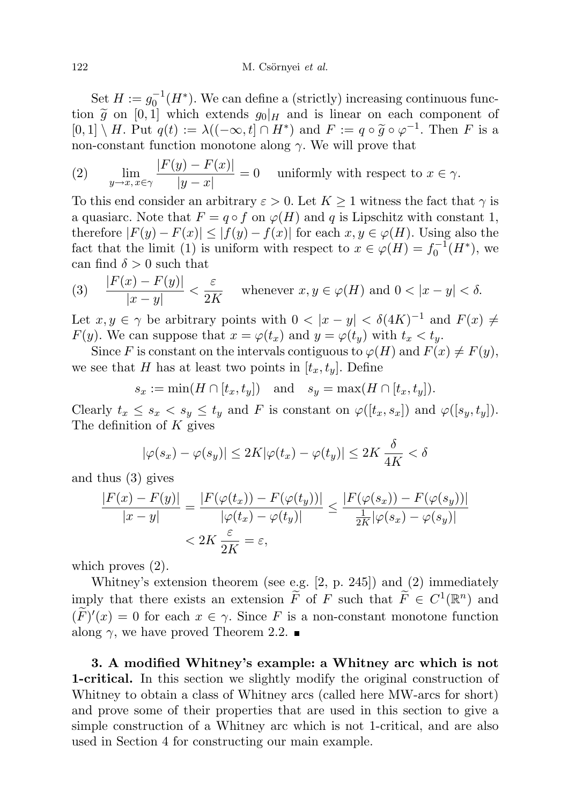#### 122 M. Csörnyei et al.

Set  $H := g_0^{-1}(H^*)$ . We can define a (strictly) increasing continuous function  $\tilde{g}$  on [0, 1] which extends  $g_0|_H$  and is linear on each component of  $[0,1] \setminus H$ . Put  $q(t) := \lambda((-\infty, t] \cap H^*)$  and  $F := q \circ \widetilde{g} \circ \varphi^{-1}$ . Then F is a non-constant function monotone along  $\gamma$ . We will prove that

(2) 
$$
\lim_{y \to x, x \in \gamma} \frac{|F(y) - F(x)|}{|y - x|} = 0 \quad \text{uniformly with respect to } x \in \gamma.
$$

To this end consider an arbitrary  $\varepsilon > 0$ . Let  $K \geq 1$  witness the fact that  $\gamma$  is a quasiarc. Note that  $F = q \circ f$  on  $\varphi(H)$  and q is Lipschitz with constant 1, therefore  $|F(y) - F(x)| \leq |f(y) - f(x)|$  for each  $x, y \in \varphi(H)$ . Using also the fact that the limit (1) is uniform with respect to  $x \in \varphi(H) = f_0^{-1}(H^*)$ , we can find  $\delta > 0$  such that

(3) 
$$
\frac{|F(x) - F(y)|}{|x - y|} < \frac{\varepsilon}{2K} \quad \text{whenever } x, y \in \varphi(H) \text{ and } 0 < |x - y| < \delta.
$$

Let  $x, y \in \gamma$  be arbitrary points with  $0 < |x - y| < \delta(4K)^{-1}$  and  $F(x) \neq$  $F(y)$ . We can suppose that  $x = \varphi(t_x)$  and  $y = \varphi(t_y)$  with  $t_x < t_y$ .

Since F is constant on the intervals contiguous to  $\varphi(H)$  and  $F(x) \neq F(y)$ , we see that H has at least two points in  $[t_x, t_y]$ . Define

$$
s_x := \min(H \cap [t_x, t_y]) \quad \text{and} \quad s_y = \max(H \cap [t_x, t_y]).
$$

Clearly  $t_x \leq s_x \leq s_y \leq t_y$  and F is constant on  $\varphi([t_x, s_x])$  and  $\varphi([s_y, t_y])$ . The definition of  $K$  gives

$$
|\varphi(s_x) - \varphi(s_y)| \le 2K|\varphi(t_x) - \varphi(t_y)| \le 2K\frac{\delta}{4K} < \delta
$$

and thus (3) gives

$$
\frac{|F(x) - F(y)|}{|x - y|} = \frac{|F(\varphi(t_x)) - F(\varphi(t_y))|}{|\varphi(t_x) - \varphi(t_y)|} \le \frac{|F(\varphi(s_x)) - F(\varphi(s_y))|}{\frac{1}{2K}|\varphi(s_x) - \varphi(s_y)|}
$$
  
< 
$$
< 2K \frac{\varepsilon}{2K} = \varepsilon,
$$

which proves (2).

Whitney's extension theorem (see e.g. [2, p. 245]) and (2) immediately imply that there exists an extension  $\tilde{F}$  of F such that  $\tilde{F} \in C^1(\mathbb{R}^n)$  and  $(\tilde{F})'(x) = 0$  for each  $x \in \gamma$ . Since F is a non-constant monotone function along  $\gamma$ , we have proved Theorem 2.2.

3. A modified Whitney's example: a Whitney arc which is not 1-critical. In this section we slightly modify the original construction of Whitney to obtain a class of Whitney arcs (called here MW-arcs for short) and prove some of their properties that are used in this section to give a simple construction of a Whitney arc which is not 1-critical, and are also used in Section 4 for constructing our main example.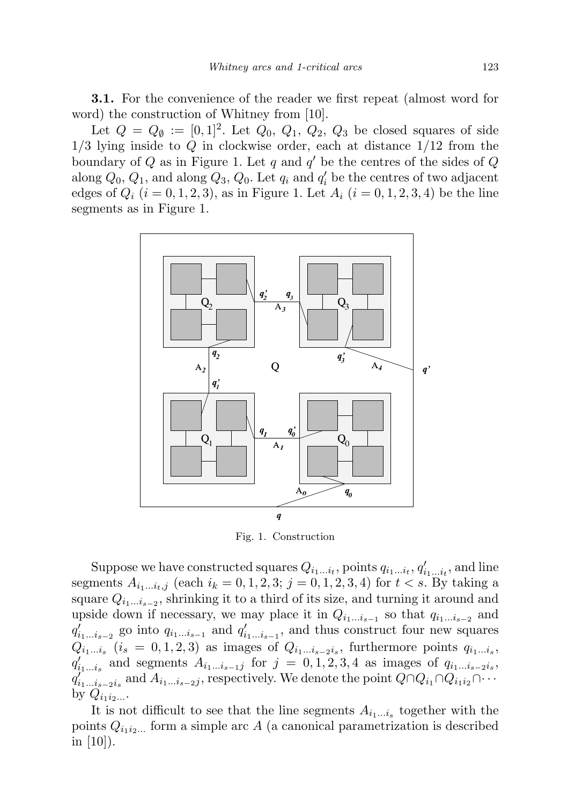3.1. For the convenience of the reader we first repeat (almost word for word) the construction of Whitney from [10].

Let  $Q = Q_{\emptyset} := [0,1]^2$ . Let  $Q_0$ ,  $Q_1$ ,  $Q_2$ ,  $Q_3$  be closed squares of side  $1/3$  lying inside to Q in clockwise order, each at distance  $1/12$  from the boundary of  $Q$  as in Figure 1. Let  $q$  and  $q'$  be the centres of the sides of  $Q$ along  $Q_0$ ,  $Q_1$ , and along  $Q_3$ ,  $Q_0$ . Let  $q_i$  and  $q'_i$  be the centres of two adjacent edges of  $Q_i$   $(i = 0, 1, 2, 3)$ , as in Figure 1. Let  $A_i$   $(i = 0, 1, 2, 3, 4)$  be the line segments as in Figure 1.



Fig. 1. Construction

Suppose we have constructed squares  $Q_{i_1...i_t}$ , points  $q_{i_1...i_t}$ ,  $q'_{i_1...i_t}$ , and line segments  $A_{i_1...i_t,j}$  (each  $i_k = 0, 1, 2, 3; j = 0, 1, 2, 3, 4$ ) for  $t < s$ . By taking a square  $Q_{i_1...i_{s-2}}$ , shrinking it to a third of its size, and turning it around and upside down if necessary, we may place it in  $Q_{i_1...i_{s-1}}$  so that  $q_{i_1...i_{s-2}}$  and  $q'_{i_1...i_{s-2}}$  go into  $q_{i_1...i_{s-1}}$  and  $q'_{i_1...i_{s-1}}$ , and thus construct four new squares  $Q_{i_1...i_s}$   $(i_s = 0,1,2,3)$  as images of  $Q_{i_1...i_{s-2}i_s}$ , furthermore points  $q_{i_1...i_s}$ ,  $q'_{i_1...i_s}$  and segments  $A_{i_1...i_{s-1}j}$  for  $j = 0, 1, 2, 3, 4$  as images of  $q_{i_1...i_{s-2}i_s}$ ,  $q_{i_1...i_{s-2}i_s}^{\prime\dots}$  and  $A_{i_1...i_{s-2}j}$ , respectively. We denote the point  $Q\cap Q_{i_1}\cap Q_{i_1i_2}\cap\cdots$ by  $Q_{i_1 i_2 \ldots}$ 

It is not difficult to see that the line segments  $A_{i_1...i_s}$  together with the points  $Q_{i_1 i_2 \dots}$  form a simple arc A (a canonical parametrization is described in  $|10|$ ).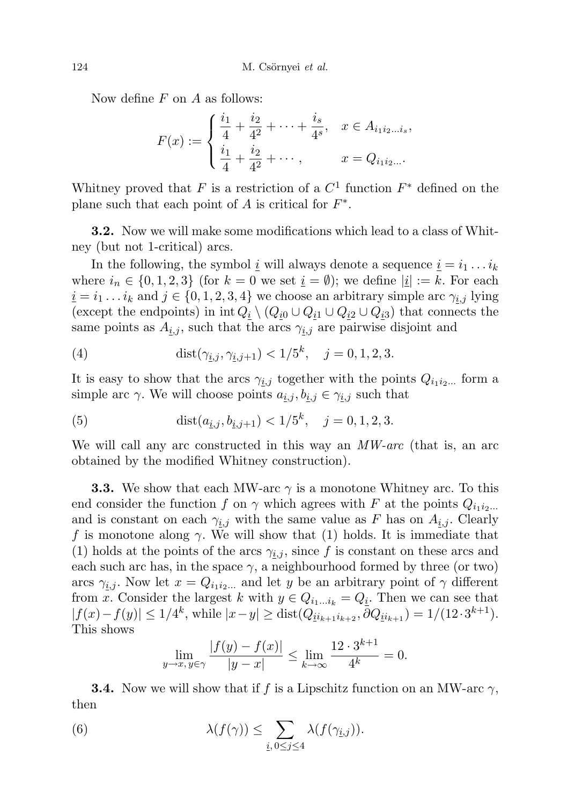Now define  $F$  on  $A$  as follows:

$$
F(x) := \begin{cases} \frac{i_1}{4} + \frac{i_2}{4^2} + \dots + \frac{i_s}{4^s}, & x \in A_{i_1 i_2 \dots i_s}, \\ \frac{i_1}{4} + \frac{i_2}{4^2} + \dots, & x = Q_{i_1 i_2 \dots}. \end{cases}
$$

Whitney proved that F is a restriction of a  $C^1$  function  $F^*$  defined on the plane such that each point of  $A$  is critical for  $F^*$ .

3.2. Now we will make some modifications which lead to a class of Whitney (but not 1-critical) arcs.

In the following, the symbol  $\underline{i}$  will always denote a sequence  $\underline{i} = i_1 \dots i_k$ where  $i_n \in \{0, 1, 2, 3\}$  (for  $k = 0$  we set  $\underline{i} = \emptyset$ ); we define  $|\underline{i}| := k$ . For each  $i = i_1 \dots i_k$  and  $j \in \{0, 1, 2, 3, 4\}$  we choose an arbitrary simple arc  $\gamma_{i,j}$  lying (except the endpoints) in int  $Q_i \setminus (Q_{i0} \cup Q_{i1} \cup Q_{i2} \cup Q_{i3})$  that connects the same points as  $A_{i,j}$ , such that the arcs  $\gamma_{i,j}$  are pairwise disjoint and

(4) 
$$
\text{dist}(\gamma_{i,j}, \gamma_{i,j+1}) < 1/5^k, \quad j = 0, 1, 2, 3.
$$

It is easy to show that the arcs  $\gamma_{i,j}$  together with the points  $Q_{i_1 i_2 ...}$  form a simple arc  $\gamma$ . We will choose points  $a_{i,j}, b_{i,j} \in \gamma_{i,j}$  such that

(5) 
$$
\text{dist}(a_{\underline{i},j}, b_{\underline{i},j+1}) < 1/5^k, \quad j = 0, 1, 2, 3.
$$

We will call any arc constructed in this way an  $MW-arc$  (that is, an arc obtained by the modified Whitney construction).

**3.3.** We show that each MW-arc  $\gamma$  is a monotone Whitney arc. To this end consider the function f on  $\gamma$  which agrees with F at the points  $Q_{i_1 i_2...}$ and is constant on each  $\gamma_{i,j}$  with the same value as F has on  $A_{i,j}$ . Clearly f is monotone along  $\gamma$ . We will show that (1) holds. It is immediate that (1) holds at the points of the arcs  $\gamma_{i,j}$ , since f is constant on these arcs and each such arc has, in the space  $\gamma$ , a neighbourhood formed by three (or two) arcs  $\gamma_{i,j}$ . Now let  $x = Q_{i_1 i_2 ...}$  and let y be an arbitrary point of  $\gamma$  different from x. Consider the largest k with  $y \in Q_{i_1...i_k} = Q_i$ . Then we can see that  $|f(x)-f(y)| \leq 1/4^k$ , while  $|x-y| \geq \text{dist}(Q_{ii_{k+1}i_{k+2}}, \overline{\partial}Q_{ii_{k+1}}) = 1/(12 \cdot 3^{k+1}).$ This shows

$$
\lim_{y \to x, y \in \gamma} \frac{|f(y) - f(x)|}{|y - x|} \le \lim_{k \to \infty} \frac{12 \cdot 3^{k+1}}{4^k} = 0.
$$

**3.4.** Now we will show that if f is a Lipschitz function on an MW-arc  $\gamma$ , then

(6) 
$$
\lambda(f(\gamma)) \leq \sum_{i, 0 \leq j \leq 4} \lambda(f(\gamma_{i,j})).
$$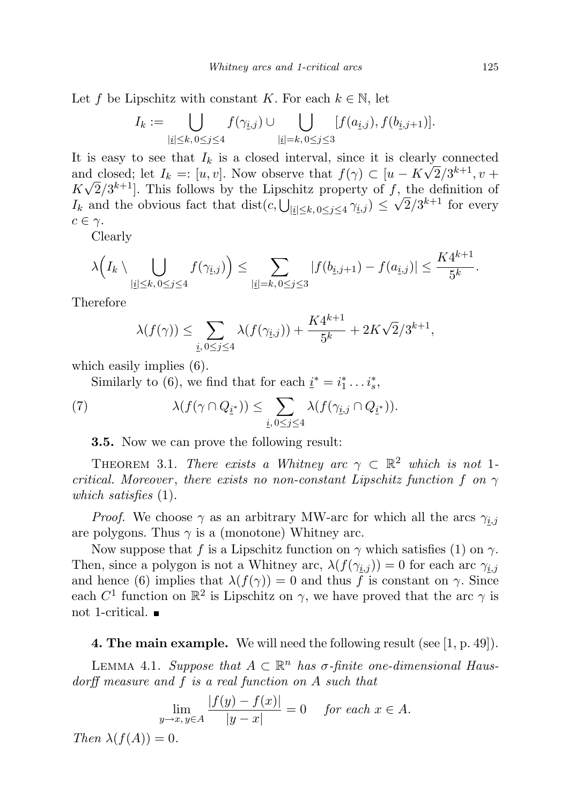Let f be Lipschitz with constant K. For each  $k \in \mathbb{N}$ , let

$$
I_k := \bigcup_{|{\underline{i}}| \leq k, 0 \leq j \leq 4} f(\gamma_{{\underline{i}},j}) \cup \bigcup_{|{\underline{i}}| = k, 0 \leq j \leq 3} [f(a_{{\underline{i}},j}), f(b_{{\underline{i}},j+1})].
$$

It is easy to see that  $I_k$  is a closed interval, since it is clearly connected and closed; let  $I_k = [u, v]$ . Now observe that  $f(\gamma) \subset [u - K\sqrt{2}/3^{k+1}, v +$  $K\sqrt{2}/3^{k+1}$ . This follows by the Lipschitz property of f, the definition of  $I_k$  and the obvious fact that  $dist(c, \bigcup_{|\underline{i}| \leq k, 0 \leq j \leq 4} \gamma_{\underline{i},j}) \leq \sqrt{2}/3^{k+1}$  for every  $c \in \gamma$ .

Clearly

$$
\lambda\Big(I_k\setminus\bigcup_{\substack{|i|\leq k,\,0\leq j\leq 4}}f(\gamma_{i,j})\Big)\leq\sum_{\substack{|i|=k,\,0\leq j\leq 3}}|f(b_{i,j+1})-f(a_{i,j})|\leq\frac{K4^{k+1}}{5^k}.
$$

Therefore

$$
\lambda(f(\gamma)) \le \sum_{i, 0 \le j \le 4} \lambda(f(\gamma_{i,j})) + \frac{K4^{k+1}}{5^k} + 2K\sqrt{2}/3^{k+1},
$$

which easily implies  $(6)$ .

Similarly to (6), we find that for each  $\underline{i}^* = i_1^* \dots i_s^*$ ,

(7) 
$$
\lambda(f(\gamma \cap Q_{\underline{i}^*})) \leq \sum_{i, 0 \leq j \leq 4} \lambda(f(\gamma_{i,j} \cap Q_{\underline{i}^*})).
$$

3.5. Now we can prove the following result:

THEOREM 3.1. There exists a Whitney arc  $\gamma \subset \mathbb{R}^2$  which is not 1critical. Moreover, there exists no non-constant Lipschitz function f on  $\gamma$ which satisfies  $(1)$ .

*Proof.* We choose  $\gamma$  as an arbitrary MW-arc for which all the arcs  $\gamma_{i,j}$ are polygons. Thus  $\gamma$  is a (monotone) Whitney arc.

Now suppose that f is a Lipschitz function on  $\gamma$  which satisfies (1) on  $\gamma$ . Then, since a polygon is not a Whitney arc,  $\lambda(f(\gamma_{i,j})) = 0$  for each arc  $\gamma_{i,j}$ and hence (6) implies that  $\lambda(f(\gamma)) = 0$  and thus f is constant on  $\gamma$ . Since each  $C^1$  function on  $\mathbb{R}^2$  is Lipschitz on  $\gamma$ , we have proved that the arc  $\gamma$  is not 1-critical.

**4. The main example.** We will need the following result (see  $[1, p. 49]$ ).

LEMMA 4.1. Suppose that  $A \subset \mathbb{R}^n$  has  $\sigma$ -finite one-dimensional Hausdorff measure and f is a real function on A such that

$$
\lim_{y \to x, y \in A} \frac{|f(y) - f(x)|}{|y - x|} = 0 \quad \text{for each } x \in A.
$$

Then  $\lambda(f(A))=0$ .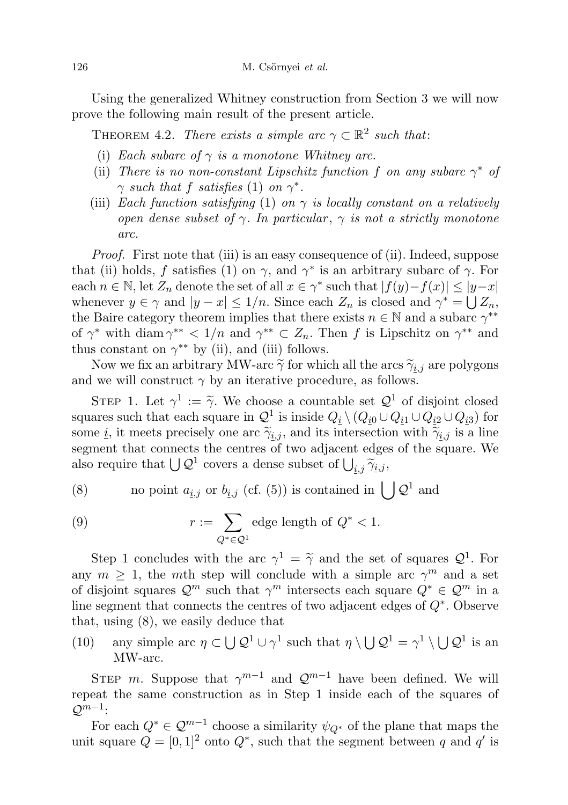Using the generalized Whitney construction from Section 3 we will now prove the following main result of the present article.

THEOREM 4.2. There exists a simple arc  $\gamma \subset \mathbb{R}^2$  such that:

- (i) Each subarc of  $\gamma$  is a monotone Whitney arc.
- (ii) There is no non-constant Lipschitz function f on any subarc  $\gamma^*$  of  $\gamma$  such that f satisfies (1) on  $\gamma^*$ .
- (iii) Each function satisfying (1) on  $\gamma$  is locally constant on a relatively open dense subset of  $\gamma$ . In particular,  $\gamma$  is not a strictly monotone arc.

Proof. First note that (iii) is an easy consequence of (ii). Indeed, suppose that (ii) holds, f satisfies (1) on  $\gamma$ , and  $\gamma^*$  is an arbitrary subarc of  $\gamma$ . For each  $n \in \mathbb{N}$ , let  $Z_n$  denote the set of all  $x \in \gamma^*$  such that  $|f(y)-f(x)| \leq |y-x|$ whenever  $y \in \gamma$  and  $|y - x| \leq 1/n$ . Since each  $Z_n$  is closed and  $\gamma^* = \bigcup Z_n$ , the Baire category theorem implies that there exists  $n \in \mathbb{N}$  and a subarc  $\gamma^{**}$ of  $\gamma^*$  with diam  $\gamma^{**} < 1/n$  and  $\gamma^{**} \subset Z_n$ . Then f is Lipschitz on  $\gamma^{**}$  and thus constant on  $\gamma^{**}$  by (ii), and (iii) follows.

Now we fix an arbitrary MW-arc  $\tilde{\gamma}$  for which all the arcs  $\tilde{\gamma}_{i,j}$  are polygons and we will construct  $\gamma$  by an iterative procedure, as follows.

STEP 1. Let  $\gamma^1 := \tilde{\gamma}$ . We choose a countable set  $\mathcal{Q}^1$  of disjoint closed<br>area such that each square in  $O^1$  is inside  $O_1$ .  $(O_{12}+O_{21}+O_{12})$  for squares such that each square in  $\mathcal{Q}^1$  is inside  $Q_i \setminus (Q_{i0} \cup Q_{i1} \cup Q_{i2} \cup Q_{i3})$  for some *i*, it meets precisely one arc  $\tilde{\gamma}_{i,j}$ , and its intersection with  $\tilde{\gamma}_{i,j}$  is a line segment that connects the centres of two adjacent edges of the square. We also require that  $\bigcup Q^1$  covers a dense subset of  $\bigcup_{i,j} \widetilde{\gamma}_{i,j}$ ,

(8) no point 
$$
a_{\underline{i},j}
$$
 or  $b_{\underline{i},j}$  (cf. (5)) is contained in  $\bigcup \mathcal{Q}^1$  and

(9) 
$$
r := \sum_{Q^* \in \mathcal{Q}^1} \text{edge length of } Q^* < 1.
$$

Step 1 concludes with the arc  $\gamma^1 = \tilde{\gamma}$  and the set of squares  $\mathcal{Q}^1$ . For any  $m \geq 1$ , the mth step will conclude with a simple arc  $\gamma^m$  and a set of disjoint squares  $\mathcal{Q}^m$  such that  $\gamma^m$  intersects each square  $Q^* \in \mathcal{Q}^m$  in a line segment that connects the centres of two adjacent edges of Q<sup>∗</sup> . Observe that, using (8), we easily deduce that

(10) any simple arc  $\eta \subset \bigcup Q^1 \cup \gamma^1$  such that  $\eta \setminus \bigcup Q^1 = \gamma^1 \setminus \bigcup Q^1$  is an MW-arc.

STEP m. Suppose that  $\gamma^{m-1}$  and  $\mathcal{Q}^{m-1}$  have been defined. We will repeat the same construction as in Step 1 inside each of the squares of  $\mathcal{Q}^{m-1}$ :

For each  $Q^* \in \mathcal{Q}^{m-1}$  choose a similarity  $\psi_{Q^*}$  of the plane that maps the unit square  $Q = [0, 1]^2$  onto  $Q^*$ , such that the segment between q and q' is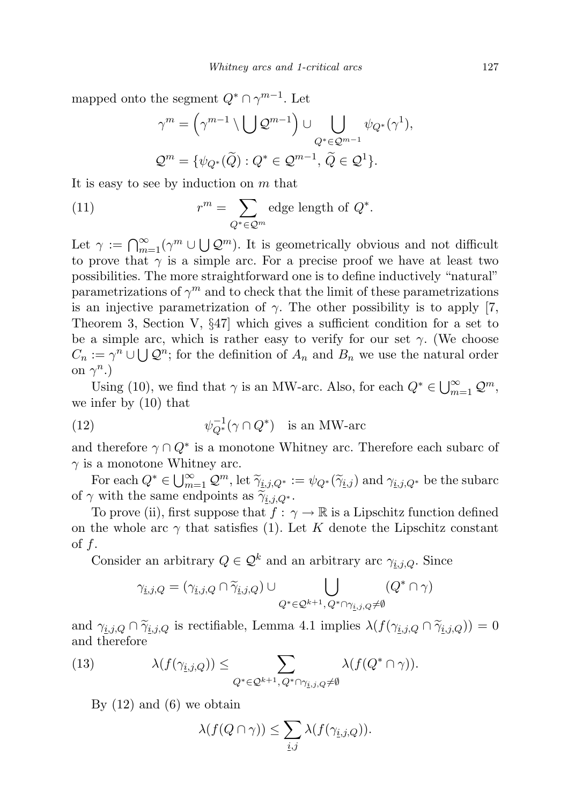mapped onto the segment  $Q^* \cap \gamma^{m-1}$ . Let

$$
\gamma^{m} = \left(\gamma^{m-1} \setminus \bigcup \mathcal{Q}^{m-1}\right) \cup \bigcup_{Q^* \in \mathcal{Q}^{m-1}} \psi_{Q^*}(\gamma^1),
$$
  

$$
\mathcal{Q}^m = \{\psi_{Q^*}(\widetilde{Q}) : Q^* \in \mathcal{Q}^{m-1}, \widetilde{Q} \in \mathcal{Q}^1\}.
$$

It is easy to see by induction on m that

(11) 
$$
r^m = \sum_{Q^* \in \mathcal{Q}^m} \text{edge length of } Q^*.
$$

Let  $\gamma := \bigcap_{m=1}^{\infty} (\gamma^m \cup \bigcup \mathcal{Q}^m)$ . It is geometrically obvious and not difficult to prove that  $\gamma$  is a simple arc. For a precise proof we have at least two possibilities. The more straightforward one is to define inductively "natural" parametrizations of  $\gamma^m$  and to check that the limit of these parametrizations is an injective parametrization of  $\gamma$ . The other possibility is to apply [7, Theorem 3, Section V, §47] which gives a sufficient condition for a set to be a simple arc, which is rather easy to verify for our set  $\gamma$ . (We choose  $C_n := \gamma^n \cup \bigcup \mathcal{Q}^n$ ; for the definition of  $A_n$  and  $B_n$  we use the natural order on  $\gamma^n$ .)

Using (10), we find that  $\gamma$  is an MW-arc. Also, for each  $Q^* \in \bigcup_{m=1}^{\infty} \mathcal{Q}^m$ , we infer by (10) that

(12) 
$$
\psi_{Q^*}^{-1}(\gamma \cap Q^*) \text{ is an MW-arc}
$$

and therefore  $\gamma \cap Q^*$  is a monotone Whitney arc. Therefore each subarc of  $\gamma$  is a monotone Whitney arc.

For each  $Q^* \in \bigcup_{m=1}^{\infty} Q^m$ , let  $\widetilde{\gamma}_{i,j,Q^*} := \psi_{Q^*}(\widetilde{\gamma}_{i,j})$  and  $\gamma_{i,j,Q^*}$  be the subarc of  $\gamma$  with the same endpoints as  $\widetilde{\gamma}_{i,j,Q^*}$ .

To prove (ii), first suppose that  $f: \gamma \to \mathbb{R}$  is a Lipschitz function defined on the whole arc  $\gamma$  that satisfies (1). Let K denote the Lipschitz constant of  $f$ .

Consider an arbitrary  $Q \in \mathcal{Q}^k$  and an arbitrary arc  $\gamma_{i,j,Q}$ . Since

$$
\gamma_{\underline{i},j,Q}=(\gamma_{\underline{i},j,Q}\cap\widetilde{\gamma}_{\underline{i},j,Q})\cup\bigcup_{Q^*\in \mathcal{Q}^{k+1},\,Q^*\cap\gamma_{\underline{i},j,Q}\neq\emptyset}(Q^*\cap\gamma)
$$

and  $\gamma_{i,j,Q} \cap \tilde{\gamma}_{i,j,Q}$  is rectifiable, Lemma 4.1 implies  $\lambda(f(\gamma_{i,j,Q} \cap \tilde{\gamma}_{i,j,Q})) = 0$ and therefore

(13) 
$$
\lambda(f(\gamma_{\underline{i},j,Q})) \leq \sum_{Q^* \in \mathcal{Q}^{k+1}, Q^* \cap \gamma_{\underline{i},j,Q} \neq \emptyset} \lambda(f(Q^* \cap \gamma)).
$$

By  $(12)$  and  $(6)$  we obtain

$$
\lambda(f(Q \cap \gamma)) \leq \sum_{i,j} \lambda(f(\gamma_{i,j,Q})).
$$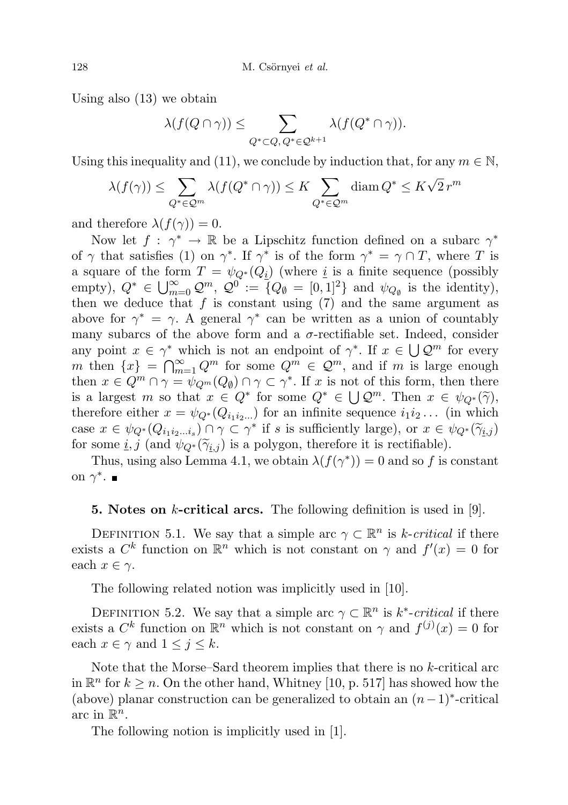Using also (13) we obtain

$$
\lambda(f(Q \cap \gamma)) \leq \sum_{Q^* \subset Q, Q^* \in \mathcal{Q}^{k+1}} \lambda(f(Q^* \cap \gamma)).
$$

Using this inequality and (11), we conclude by induction that, for any  $m \in \mathbb{N}$ ,

$$
\lambda(f(\gamma)) \le \sum_{Q^* \in \mathcal{Q}^m} \lambda(f(Q^* \cap \gamma)) \le K \sum_{Q^* \in \mathcal{Q}^m} \text{diam}\, Q^* \le K\sqrt{2}\, r^m
$$

and therefore  $\lambda(f(\gamma))=0$ .

Now let  $f: \gamma^* \to \mathbb{R}$  be a Lipschitz function defined on a subarc  $\gamma^*$ of  $\gamma$  that satisfies (1) on  $\gamma^*$ . If  $\gamma^*$  is of the form  $\gamma^* = \gamma \cap T$ , where T is a square of the form  $T = \psi_{Q^*}(Q_i)$  (where i is a finite sequence (possibly empty),  $Q^* \in \bigcup_{m=0}^{\infty} \mathcal{Q}^m$ ,  $\mathcal{Q}^0 := \{Q_{\emptyset} = [0,1]^2\}$  and  $\psi_{Q_{\emptyset}}$  is the identity), then we deduce that  $f$  is constant using  $(7)$  and the same argument as above for  $\gamma^* = \gamma$ . A general  $\gamma^*$  can be written as a union of countably many subarcs of the above form and a  $\sigma$ -rectifiable set. Indeed, consider any point  $x \in \gamma^*$  which is not an endpoint of  $\gamma^*$ . If  $x \in \bigcup \mathcal{Q}^m$  for every m then  $\{x\} = \bigcap_{m=1}^{\infty} Q^m$  for some  $Q^m \in \mathcal{Q}^m$ , and if m is large enough then  $x \in Q^m \cap \gamma = \bar{\psi}_{Q^m}(Q_{\emptyset}) \cap \gamma \subset \gamma^*$ . If x is not of this form, then there is a largest m so that  $x \in Q^*$  for some  $Q^* \in \bigcup Q^m$ . Then  $x \in \psi_{Q^*}(\tilde{\gamma})$ ,<br>therefore either  $x = \psi_{Q^*}(Q, \ldots)$  for an infinite sequence i.i. (in which therefore either  $x = \psi_{Q^*}(Q_{i_1 i_2 ...})$  for an infinite sequence  $i_1 i_2 ...$  (in which case  $x \in \psi_{Q^*}(Q_{i_1 i_2 \dots i_s}) \cap \gamma \subset \gamma^*$  if s is sufficiently large), or  $x \in \psi_{Q^*}(\widetilde{\gamma}_{i,j})$ <br>for some i i (and  $\psi_{Q^*}(\widetilde{\gamma}_{i,j})$ ) is a polygon therefore it is rectifiable) for some  $\underline{i}, \underline{j}$  (and  $\psi_{Q^*}(\widetilde{\gamma}_{i,j})$  is a polygon, therefore it is rectifiable).

Thus, using also Lemma 4.1, we obtain  $\lambda(f(\gamma^*))=0$  and so f is constant on  $\gamma^*$ .

### **5. Notes on k-critical arcs.** The following definition is used in [9].

DEFINITION 5.1. We say that a simple arc  $\gamma \subset \mathbb{R}^n$  is k-critical if there exists a  $C^k$  function on  $\mathbb{R}^n$  which is not constant on  $\gamma$  and  $f'(x) = 0$  for each  $x \in \gamma$ .

The following related notion was implicitly used in [10].

DEFINITION 5.2. We say that a simple arc  $\gamma \subset \mathbb{R}^n$  is  $k^*$ -critical if there exists a  $C^k$  function on  $\mathbb{R}^n$  which is not constant on  $\gamma$  and  $f^{(j)}(x) = 0$  for each  $x \in \gamma$  and  $1 \leq j \leq k$ .

Note that the Morse–Sard theorem implies that there is no k-critical arc in  $\mathbb{R}^n$  for  $k \geq n$ . On the other hand, Whitney [10, p. 517] has showed how the (above) planar construction can be generalized to obtain an  $(n-1)$ <sup>\*</sup>-critical arc in  $\mathbb{R}^n$ .

The following notion is implicitly used in [1].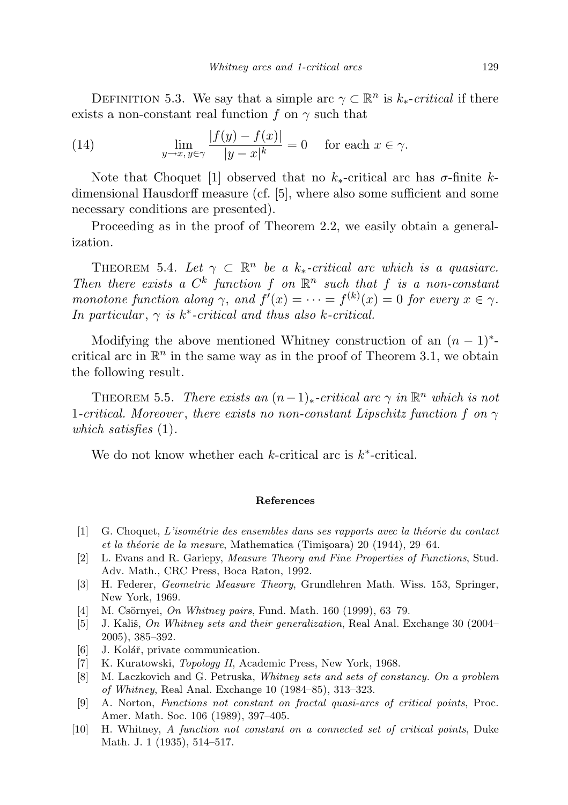DEFINITION 5.3. We say that a simple arc  $\gamma \subset \mathbb{R}^n$  is  $k_*$ -critical if there exists a non-constant real function f on  $\gamma$  such that

(14) 
$$
\lim_{y \to x, y \in \gamma} \frac{|f(y) - f(x)|}{|y - x|^k} = 0 \quad \text{for each } x \in \gamma.
$$

Note that Choquet [1] observed that no  $k_*$ -critical arc has  $\sigma$ -finite kdimensional Hausdorff measure (cf. [5], where also some sufficient and some necessary conditions are presented).

Proceeding as in the proof of Theorem 2.2, we easily obtain a generalization.

THEOREM 5.4. Let  $\gamma \subset \mathbb{R}^n$  be a k<sub>\*</sub>-critical arc which is a quasiarc. Then there exists a  $C^k$  function f on  $\mathbb{R}^n$  such that f is a non-constant monotone function along  $\gamma$ , and  $f'(x) = \cdots = f^{(k)}(x) = 0$  for every  $x \in \gamma$ . In particular,  $\gamma$  is  $k^*$ -critical and thus also k-critical.

Modifying the above mentioned Whitney construction of an  $(n-1)^*$ critical arc in  $\mathbb{R}^n$  in the same way as in the proof of Theorem 3.1, we obtain the following result.

THEOREM 5.5. There exists an  $(n-1)_{*}$ -critical arc  $\gamma$  in  $\mathbb{R}^{n}$  which is not 1-critical. Moreover, there exists no non-constant Lipschitz function f on  $\gamma$ which satisfies  $(1)$ .

We do not know whether each  $k$ -critical arc is  $k^*$ -critical.

### References

- $[1]$  G. Choquet, L'isométrie des ensembles dans ses rapports avec la théorie du contact et la théorie de la mesure, Mathematica (Timișoara) 20 (1944), 29–64.
- [2] L. Evans and R. Gariepy, Measure Theory and Fine Properties of Functions, Stud. Adv. Math., CRC Press, Boca Raton, 1992.
- [3] H. Federer, Geometric Measure Theory, Grundlehren Math. Wiss. 153, Springer, New York, 1969.
- [4] M. Csörnyei, On Whitney pairs, Fund. Math. 160 (1999), 63–79.
- [5] J. Kališ, On Whitney sets and their generalization, Real Anal. Exchange  $30(2004-$ 2005), 385–392.
- [6] J. Kolář, private communication.
- [7] K. Kuratowski, Topology II, Academic Press, New York, 1968.
- [8] M. Laczkovich and G. Petruska, Whitney sets and sets of constancy. On a problem of Whitney, Real Anal. Exchange 10 (1984–85), 313–323.
- [9] A. Norton, Functions not constant on fractal quasi-arcs of critical points, Proc. Amer. Math. Soc. 106 (1989), 397–405.
- [10] H. Whitney, A function not constant on a connected set of critical points, Duke Math. J. 1 (1935), 514–517.